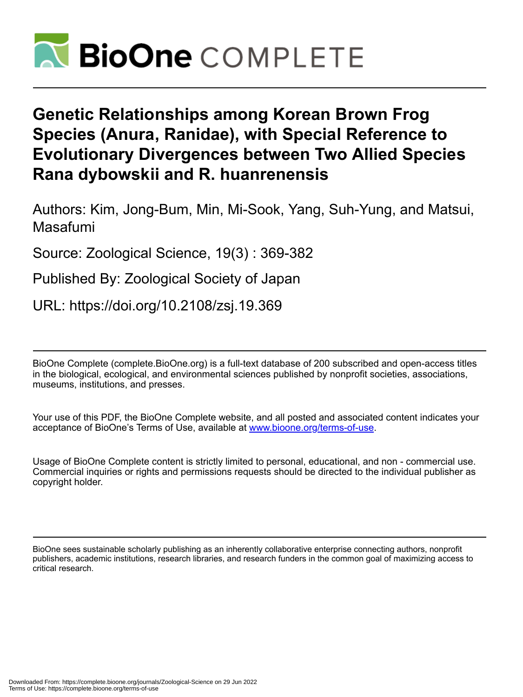

# **Genetic Relationships among Korean Brown Frog Species (Anura, Ranidae), with Special Reference to Evolutionary Divergences between Two Allied Species Rana dybowskii and R. huanrenensis**

Authors: Kim, Jong-Bum, Min, Mi-Sook, Yang, Suh-Yung, and Matsui, Masafumi

Source: Zoological Science, 19(3) : 369-382

Published By: Zoological Society of Japan

URL: https://doi.org/10.2108/zsj.19.369

BioOne Complete (complete.BioOne.org) is a full-text database of 200 subscribed and open-access titles in the biological, ecological, and environmental sciences published by nonprofit societies, associations, museums, institutions, and presses.

Your use of this PDF, the BioOne Complete website, and all posted and associated content indicates your acceptance of BioOne's Terms of Use, available at www.bioone.org/terms-of-use.

Usage of BioOne Complete content is strictly limited to personal, educational, and non - commercial use. Commercial inquiries or rights and permissions requests should be directed to the individual publisher as copyright holder.

BioOne sees sustainable scholarly publishing as an inherently collaborative enterprise connecting authors, nonprofit publishers, academic institutions, research libraries, and research funders in the common goal of maximizing access to critical research.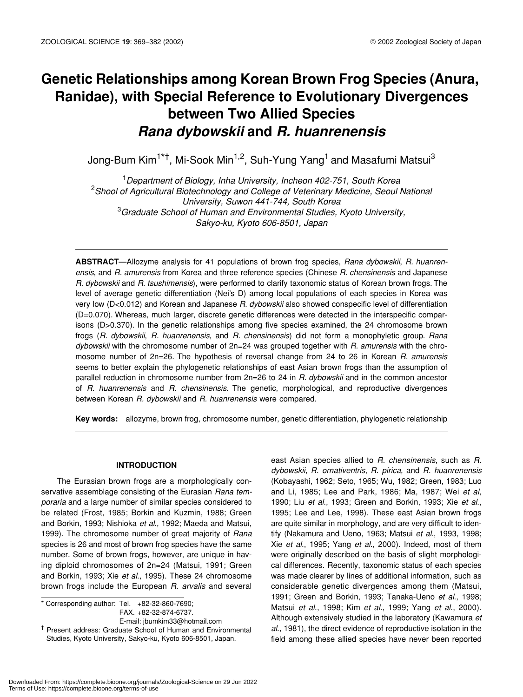# **Genetic Relationships among Korean Brown Frog Species (Anura, Ranidae), with Special Reference to Evolutionary Divergences between Two Allied Species** *Rana dybowskii* **and** *R. huanrenensis*

Jong-Bum Kim<sup>1\*†</sup>, Mi-Sook Min<sup>1,2</sup>, Suh-Yung Yang<sup>1</sup> and Masafumi Matsui<sup>3</sup>

1 *Department of Biology, Inha University, Incheon 402-751, South Korea* 2 *Shool of Agricultural Biotechnology and College of Veterinary Medicine, Seoul National University, Suwon 441-744, South Korea* 3 *Graduate School of Human and Environmental Studies, Kyoto University, Sakyo-ku, Kyoto 606-8501, Japan*

**ABSTRACT**—Allozyme analysis for 41 populations of brown frog species, *Rana dybowskii*, *R. huanrenensis*, and *R. amurensis* from Korea and three reference species (Chinese *R. chensinensis* and Japanese *R. dybowskii* and *R. tsushimensis*), were performed to clarify taxonomic status of Korean brown frogs. The level of average genetic differentiation (Nei's D) among local populations of each species in Korea was very low (D<0.012) and Korean and Japanese *R. dybowskii* also showed conspecific level of differentiation (D=0.070). Whereas, much larger, discrete genetic differences were detected in the interspecific comparisons (D>0.370). In the genetic relationships among five species examined, the 24 chromosome brown frogs (*R. dybowskii*, *R. huanrenensis*, and *R. chensinensis*) did not form a monophyletic group. *Rana dybowskii* with the chromosome number of 2n=24 was grouped together with *R. amurensis* with the chromosome number of 2n=26. The hypothesis of reversal change from 24 to 26 in Korean *R. amurensis* seems to better explain the phylogenetic relationships of east Asian brown frogs than the assumption of parallel reduction in chromosome number from 2n=26 to 24 in *R. dybowskii* and in the common ancestor of *R. huanrenensis* and *R. chensinensis*. The genetic, morphological, and reproductive divergences between Korean *R. dybowskii* and *R. huanrenensis* were compared.

**Key words:** allozyme, brown frog, chromosome number, genetic differentiation, phylogenetic relationship

# **INTRODUCTION**

The Eurasian brown frogs are a morphologically conservative assemblage consisting of the Eurasian *Rana temporaria* and a large number of similar species considered to be related (Frost, 1985; Borkin and Kuzmin, 1988; Green and Borkin, 1993; Nishioka *et al*., 1992; Maeda and Matsui, 1999). The chromosome number of great majority of *Rana* species is 26 and most of brown frog species have the same number. Some of brown frogs, however, are unique in having diploid chromosomes of 2n=24 (Matsui, 1991; Green and Borkin, 1993; Xie *et al*., 1995). These 24 chromosome brown frogs include the European *R. arvalis* and several

\* Corresponding author: Tel. +82-32-860-7690; FAX. +82-32-874-6737.

E-mail: jbumkim33@hotmail.com

† Present address: Graduate School of Human and Environmental Studies, Kyoto University, Sakyo-ku, Kyoto 606-8501, Japan.

east Asian species allied to *R. chensinensis*, such as *R. dybowskii*, *R. ornativentris*, *R. pirica*, and *R. huanrenensis* (Kobayashi, 1962; Seto, 1965; Wu, 1982; Green, 1983; Luo and Li, 1985; Lee and Park, 1986; Ma, 1987; Wei *et al*, 1990; Liu *et al*., 1993; Green and Borkin, 1993; Xie *et al*., 1995; Lee and Lee, 1998). These east Asian brown frogs are quite similar in morphology, and are very difficult to identify (Nakamura and Ueno, 1963; Matsui *et al*., 1993, 1998; Xie *et al*., 1995; Yang *et al*., 2000). Indeed, most of them were originally described on the basis of slight morphological differences. Recently, taxonomic status of each species was made clearer by lines of additional information, such as considerable genetic divergences among them (Matsui, 1991; Green and Borkin, 1993; Tanaka-Ueno *et al*., 1998; Matsui *et al*., 1998; Kim *et al*., 1999; Yang *et al*., 2000). Although extensively studied in the laboratory (Kawamura *et al*., 1981), the direct evidence of reproductive isolation in the field among these allied species have never been reported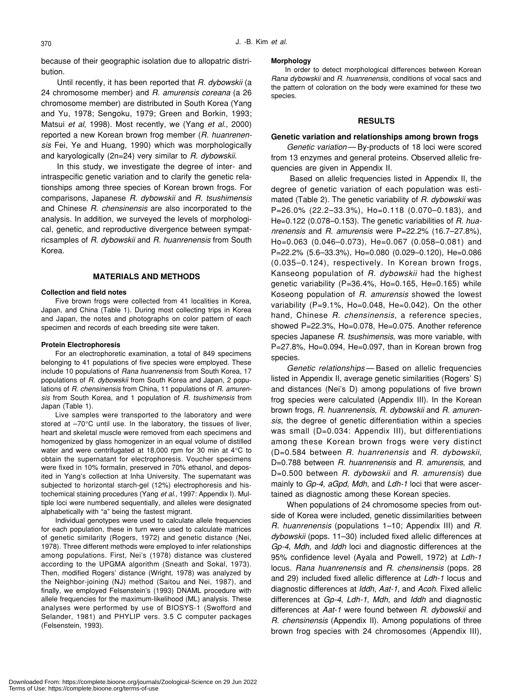because of their geographic isolation due to allopatric distribution.

Until recently, it has been reported that *R. dybowskii* (a 24 chromosome member) and *R. amurensis coreana* (a 26 chromosome member) are distributed in South Korea (Yang and Yu, 1978; Sengoku, 1979; Green and Borkin, 1993; Matsui *et al*, 1998). Most recently, we (Yang *et al*., 2000) reported a new Korean brown frog member (*R. huanrenensis* Fei, Ye and Huang, 1990) which was morphologically and karyologically (2n=24) very similar to *R. dybowskii*.

In this study, we investigate the degree of inter- and intraspecific genetic variation and to clarify the genetic relationships among three species of Korean brown frogs. For comparisons, Japanese *R. dybowskii* and *R. tsushimensis* and Chinese *R. chensinensis* are also incorporated to the analysis. In addition, we surveyed the levels of morphological, genetic, and reproductive divergence between sympatricsamples of *R. dybowskii* and *R. huanrenensis* from South Korea.

#### **MATERIALS AND METHODS**

### **Collection and field notes**

Five brown frogs were collected from 41 localities in Korea, Japan, and China (Table 1). During most collecting trips in Korea and Japan, the notes and photographs on color pattern of each specimen and records of each breeding site were taken.

#### **Protein Electrophoresis**

For an electrophoretic examination, a total of 849 specimens belonging to 41 populations of five species were employed. These include 10 populations of *Rana huanrenensis* from South Korea, 17 populations of *R. dybowskii* from South Korea and Japan, 2 populations of *R. chensinensis* from China, 11 populations of *R. amurensis* from South Korea, and 1 population of *R. tsushimensis* from Japan (Table 1).

Live samples were transported to the laboratory and were stored at –70°C until use. In the laboratory, the tissues of liver, heart and skeletal muscle were removed from each specimens and homogenized by glass homogenizer in an equal volume of distilled water and were centrifugated at 18,000 rpm for 30 min at 4°C to obtain the supernatant for electrophoresis. Voucher specimens were fixed in 10% formalin, preserved in 70% ethanol, and deposited in Yang's collection at Inha University. The supernatant was subjected to horizontal starch-gel (12%) electrophoresis and histochemical staining procedures (Yang *et al*., 1997: Appendix I). Multiple loci were numbered sequentially, and alleles were designated alphabetically with "a" being the fastest migrant.

Individual genotypes were used to calculate allele frequencies for each population, these in turn were used to calculate matrices of genetic similarity (Rogers, 1972) and genetic distance (Nei, 1978). Three different methods were employed to infer relationships among populations. First, Nei's (1978) distance was clustered according to the UPGMA algorithm (Sneath and Sokal, 1973). Then, modified Rogers' distance (Wright, 1978) was analyzed by the Neighbor-joining (NJ) method (Saitou and Nei, 1987), and finally, we employed Felsenstein's (1993) DNAML procedure with allele frequencies for the maximum-likelihood (ML) analysis. These analyses were performed by use of BIOSYS-1 (Swofford and Selander, 1981) and PHYLIP vers. 3.5 C computer packages (Felsenstein, 1993).

#### **Morphology**

In order to detect morphological differences between Korean *Rana dybowskii* and *R. huanrenensis*, conditions of vocal sacs and the pattern of coloration on the body were examined for these two species.

# **RESULTS**

#### **Genetic variation and relationships among brown frogs**

*Genetic variation* — By-products of 18 loci were scored from 13 enzymes and general proteins. Observed allelic frequencies are given in Appendix II.

 Based on allelic frequencies listed in Appendix II, the degree of genetic variation of each population was estimated (Table 2). The genetic variability of *R. dybowskii* was P=26.0% (22.2–33.3%), Ho=0.118 (0.070–0.183), and He=0.122 (0.078–0.153). The genetic variabilities of *R. huanrenensis* and *R. amurensis* were P=22.2% (16.7–27.8%), Ho=0.063 (0.046–0.073), He=0.067 (0.058–0.081) and P=22.2% (5.6–33.3%), Ho=0.080 (0.029–0.120), He=0.086 (0.035–0.124), respectively. In Korean brown frogs, Kanseong population of *R. dybowskii* had the highest genetic variability (P=36.4%, Ho=0.165, He=0.165) while Koseong population of *R. amurensis* showed the lowest variability (P=9.1%, Ho=0.048, He=0.042). On the other hand, Chinese *R. chensinensis*, a reference species, showed P=22.3%, Ho=0.078, He=0.075. Another reference species Japanese *R. tsushimensis*, was more variable, with P=27.8%, Ho=0.094, He=0.097, than in Korean brown frog species.

*Genetic relationships* — Based on allelic frequencies listed in Appendix II, average genetic similarities (Rogers' S) and distances (Nei's D) among populations of five brown frog species were calculated (Appendix III). In the Korean brown frogs, *R. huanrenensis*, *R. dybowskii* and *R. amurensis*, the degree of genetic differentiation within a species was small (D=0.034: Appendix III), but differentiations among these Korean brown frogs were very distinct (D=0.584 between *R. huanrenensis* and *R. dybowskii*, D=0.788 between *R. huanrenensis* and *R. amurensis*, and D=0.500 between *R. dybowskii* and *R. amurensis*) due mainly to *Gp-4*, *aGpd*, *Mdh*, and *Ldh-1* loci that were ascertained as diagnostic among these Korean species.

When populations of 24 chromosome species from outside of Korea were included, genetic dissimilarities between *R. huanrenensis* (populations 1–10; Appendix III) and *R. dybowskii* (pops. 11–30) included fixed allelic differences at *Gp-4*, *Mdh*, and *Iddh* loci and diagnostic differences at the 95% confidence level (Ayala and Powell, 1972) at *Ldh-1* locus. *Rana huanrenensis* and *R. chensinensis* (pops. 28 and 29) included fixed allelic difference at *Ldh-1* locus and diagnostic differences at *Iddh*, *Aat-1*, and *Acoh*. Fixed allelic differences at *Gp-4*, *Ldh-1*, *Mdh*, and *Iddh* and diagnostic differences at *Aat-1* were found between *R. dybowskii* and *R. chensinensis* (Appendix II). Among populations of three brown frog species with 24 chromosomes (Appendix III),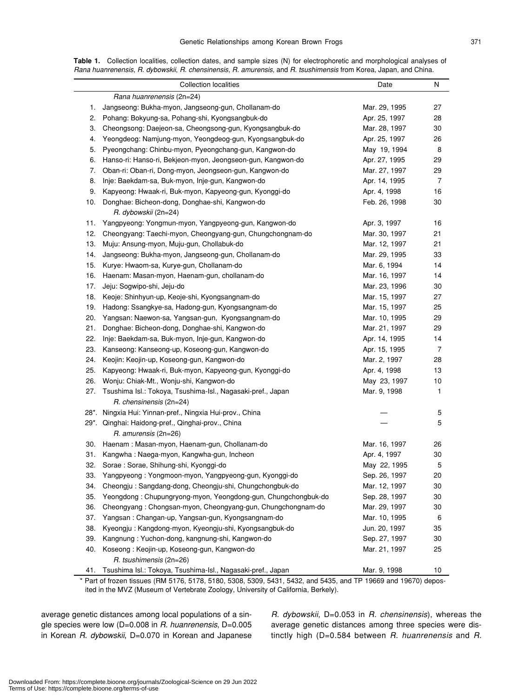|             | - |  |
|-------------|---|--|
| ٠<br>i<br>٩ |   |  |

**Table 1.** Collection localities, collection dates, and sample sizes (N) for electrophoretic and morphological analyses of *Rana huanrenensis*, *R. dybowskii*, *R. chensinensis*, *R. amurensis*, and *R. tsushimensis* from Korea, Japan, and China.

|     | <b>Collection localities</b>                                              | Date          | N  |
|-----|---------------------------------------------------------------------------|---------------|----|
|     | Rana huanrenensis (2n=24)                                                 |               |    |
| 1.  | Jangseong: Bukha-myon, Jangseong-gun, Chollanam-do                        | Mar. 29, 1995 | 27 |
| 2.  | Pohang: Bokyung-sa, Pohang-shi, Kyongsangbuk-do                           | Apr. 25, 1997 | 28 |
| 3.  | Cheongsong: Daejeon-sa, Cheongsong-gun, Kyongsangbuk-do                   | Mar. 28, 1997 | 30 |
| 4.  | Yeongdeog: Namjung-myon, Yeongdeog-gun, Kyongsangbuk-do                   | Apr. 25, 1997 | 26 |
| 5.  | Pyeongchang: Chinbu-myon, Pyeongchang-gun, Kangwon-do                     | May 19, 1994  | 8  |
| 6.  | Hanso-ri: Hanso-ri, Bekjeon-myon, Jeongseon-gun, Kangwon-do               | Apr. 27, 1995 | 29 |
| 7.  | Oban-ri: Oban-ri, Dong-myon, Jeongseon-gun, Kangwon-do                    | Mar. 27, 1997 | 29 |
| 8.  | Inje: Baekdam-sa, Buk-myon, Inje-gun, Kangwon-do                          | Apr. 14, 1995 | 7  |
| 9.  | Kapyeong: Hwaak-ri, Buk-myon, Kapyeong-gun, Kyonggi-do                    | Apr. 4, 1998  | 16 |
| 10. | Donghae: Bicheon-dong, Donghae-shi, Kangwon-do                            | Feb. 26, 1998 | 30 |
|     | R. dybowskii (2n=24)                                                      |               |    |
|     | 11. Yangpyeong: Yongmun-myon, Yangpyeong-gun, Kangwon-do                  | Apr. 3, 1997  | 16 |
|     | 12. Cheongyang: Taechi-myon, Cheongyang-gun, Chungchongnam-do             | Mar. 30, 1997 | 21 |
|     | 13. Muju: Ansung-myon, Muju-gun, Chollabuk-do                             | Mar. 12, 1997 | 21 |
| 14. | Jangseong: Bukha-myon, Jangseong-gun, Chollanam-do                        | Mar. 29, 1995 | 33 |
|     | 15. Kurye: Hwaom-sa, Kurye-gun, Chollanam-do                              | Mar. 6, 1994  | 14 |
|     | 16. Haenam: Masan-myon, Haenam-gun, chollanam-do                          | Mar. 16, 1997 | 14 |
| 17. | Jeju: Sogwipo-shi, Jeju-do                                                | Mar. 23, 1996 | 30 |
|     | 18. Keoje: Shinhyun-up, Keoje-shi, Kyongsangnam-do                        | Mar. 15, 1997 | 27 |
|     | 19. Hadong: Ssangkye-sa, Hadong-gun, Kyongsangnam-do                      | Mar. 15, 1997 | 25 |
| 20. | Yangsan: Naewon-sa, Yangsan-gun, Kyongsangnam-do                          | Mar. 10, 1995 | 29 |
| 21. | Donghae: Bicheon-dong, Donghae-shi, Kangwon-do                            | Mar. 21, 1997 | 29 |
| 22. | Inje: Baekdam-sa, Buk-myon, Inje-gun, Kangwon-do                          | Apr. 14, 1995 | 14 |
| 23. | Kanseong: Kanseong-up, Koseong-gun, Kangwon-do                            | Apr. 15, 1995 | 7  |
| 24. | Keojin: Keojin-up, Koseong-gun, Kangwon-do                                | Mar. 2, 1997  | 28 |
| 25. | Kapyeong: Hwaak-ri, Buk-myon, Kapyeong-gun, Kyonggi-do                    | Apr. 4, 1998  | 13 |
| 26. | Wonju: Chiak-Mt., Wonju-shi, Kangwon-do                                   | May 23, 1997  | 10 |
| 27. | Tsushima Isl.: Tokoya, Tsushima-Isl., Nagasaki-pref., Japan               | Mar. 9, 1998  | 1  |
|     | R. chensinensis (2n=24)                                                   |               |    |
|     | 28*. Ningxia Hui: Yinnan-pref., Ningxia Hui-prov., China                  |               | 5  |
|     | 29*. Qinghai: Haidong-pref., Qinghai-prov., China<br>R. amurensis (2n=26) |               | 5  |
|     | 30. Haenam: Masan-myon, Haenam-gun, Chollanam-do                          | Mar. 16, 1997 | 26 |
|     | 31. Kangwha: Naega-myon, Kangwha-gun, Incheon                             | Apr. 4, 1997  | 30 |
| 32. | Sorae : Sorae, Shihung-shi, Kyonggi-do                                    | May 22, 1995  | 5  |
| 33. | Yangpyeong: Yongmoon-myon, Yangpyeong-gun, Kyonggi-do                     | Sep. 26, 1997 | 20 |
| 34. | Cheongju: Sangdang-dong, Cheongju-shi, Chungchongbuk-do                   | Mar. 12, 1997 | 30 |
| 35. | Yeongdong: Chupungryong-myon, Yeongdong-gun, Chungchongbuk-do             | Sep. 28, 1997 | 30 |
| 36. | Cheongyang: Chongsan-myon, Cheongyang-gun, Chungchongnam-do               | Mar. 29, 1997 | 30 |
| 37. | Yangsan: Changan-up, Yangsan-gun, Kyongsangnam-do                         | Mar. 10, 1995 | 6  |
| 38. | Kyeongju: Kangdong-myon, Kyeongju-shi, Kyongsangbuk-do                    | Jun. 20, 1997 | 35 |
| 39. | Kangnung: Yuchon-dong, kangnung-shi, Kangwon-do                           | Sep. 27, 1997 | 30 |
| 40. | Koseong: Keojin-up, Koseong-gun, Kangwon-do<br>R. tsushimensis (2n=26)    | Mar. 21, 1997 | 25 |
| 41. | Tsushima Isl.: Tokoya, Tsushima-Isl., Nagasaki-pref., Japan               | Mar. 9, 1998  | 10 |
|     |                                                                           |               |    |

\* Part of frozen tissues (RM 5176, 5178, 5180, 5308, 5309, 5431, 5432, and 5435, and TP 19669 and 19670) deposited in the MVZ (Museum of Vertebrate Zoology, University of California, Berkely).

average genetic distances among local populations of a single species were low (D=0.008 in *R. huanrenensis*, D=0.005 in Korean *R. dybowskii*, D=0.070 in Korean and Japanese *R. dybowskii*, D=0.053 in *R. chensinensis*), whereas the average genetic distances among three species were distinctly high (D=0.584 between *R. huanrenensis* and *R.*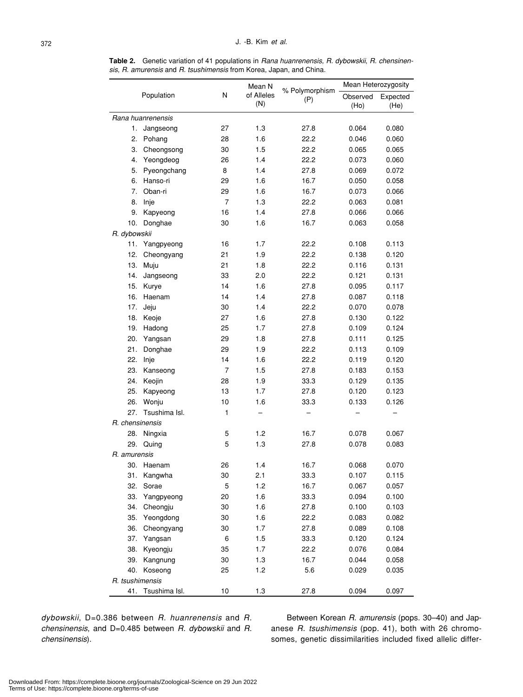**Table 2.** Genetic variation of 41 populations in *Rana huanrenensis*, *R. dybowskii*, *R. chensinensis*, *R. amurensis* and *R. tsushimensis* from Korea, Japan, and China.

|                 |                   |      | Mean N            |                       | Mean Heterozygosity |                  |
|-----------------|-------------------|------|-------------------|-----------------------|---------------------|------------------|
|                 | Population        | N    | of Alleles<br>(N) | % Polymorphism<br>(P) | Observed<br>(Ho)    | Expected<br>(He) |
|                 | Rana huanrenensis |      |                   |                       |                     |                  |
| 1.              | Jangseong         | 27   | 1.3               | 27.8                  | 0.064               | 0.080            |
| 2.              | Pohang            | 28   | 1.6               | 22.2                  | 0.046               | 0.060            |
| 3.              | Cheongsong        | 30   | 1.5               | 22.2                  | 0.065               | 0.065            |
| 4.              | Yeongdeog         | 26   | 1.4               | 22.2                  | 0.073               | 0.060            |
| 5.              | Pyeongchang       | 8    | 1.4               | 27.8                  | 0.069               | 0.072            |
| 6.              | Hanso-ri          | 29   | 1.6               | 16.7                  | 0.050               | 0.058            |
| 7.              | Oban-ri           | 29   | 1.6               | 16.7                  | 0.073               | 0.066            |
| 8.              | Inje              | 7    | 1.3               | 22.2                  | 0.063               | 0.081            |
| 9.              | Kapyeong          | 16   | 1.4               | 27.8                  | 0.066               | 0.066            |
| 10.             | Donghae           | 30   | 1.6               | 16.7                  | 0.063               | 0.058            |
| R. dybowskii    |                   |      |                   |                       |                     |                  |
| 11.             | Yangpyeong        | 16   | 1.7               | 22.2                  | 0.108               | 0.113            |
| 12.             | Cheongyang        | 21   | 1.9               | 22.2                  | 0.138               | 0.120            |
| 13.             | Muju              | 21   | 1.8               | 22.2                  | 0.116               | 0.131            |
| 14.             | Jangseong         | 33   | 2.0               | 22.2                  | 0.121               | 0.131            |
| 15.             | Kurye             | 14   | 1.6               | 27.8                  | 0.095               | 0.117            |
| 16.             | Haenam            | 14   | 1.4               | 27.8                  | 0.087               | 0.118            |
| 17.             | Jeju              | 30   | 1.4               | 22.2                  | 0.070               | 0.078            |
| 18.             | Keoje             | 27   | 1.6               | 27.8                  | 0.130               | 0.122            |
| 19.             | Hadong            | 25   | 1.7               | 27.8                  | 0.109               | 0.124            |
| 20.             | Yangsan           | 29   | 1.8               | 27.8                  | 0.111               | 0.125            |
| 21.             | Donghae           | 29   | 1.9               | 22.2                  | 0.113               | 0.109            |
| 22.             | Inje              | 14   | 1.6               | 22.2                  | 0.119               | 0.120            |
| 23.             | Kanseong          | 7    | 1.5               | 27.8                  | 0.183               | 0.153            |
| 24.             | Keojin            | 28   | 1.9               | 33.3                  | 0.129               | 0.135            |
| 25.             | Kapyeong          | 13   | 1.7               | 27.8                  | 0.120               | 0.123            |
| 26.             | Wonju             | 10   | 1.6               | 33.3                  | 0.133               | 0.126            |
| 27.             | Tsushima Isl.     | 1    |                   |                       |                     |                  |
| R. chensinensis |                   |      |                   |                       |                     |                  |
| 28.             | Ningxia           | 5    | 1.2               | 16.7                  | 0.078               | 0.067            |
| 29.             | Quing             | 5    | 1.3               | 27.8                  | 0.078               | 0.083            |
| R. amurensis    |                   |      |                   |                       |                     |                  |
| 30.             | Haenam            | 26   | 1.4               | 16.7                  | 0.068               | 0.070            |
| 31.             | Kangwha           | 30   | 2.1               | 33.3                  | 0.107               | 0.115            |
| 32.             | Sorae             | 5    | 1.2               | 16.7                  | 0.067               | 0.057            |
| 33.             | Yangpyeong        | 20   | 1.6               | 33.3                  | 0.094               | 0.100            |
| 34.             | Cheongju          | 30   | 1.6               | 27.8                  | 0.100               | 0.103            |
| 35.             | Yeongdong         | 30   | 1.6               | 22.2                  | 0.083               | 0.082            |
| 36.             | Cheongyang        | 30   | 1.7               | 27.8                  | 0.089               | 0.108            |
| 37.             | Yangsan           | 6    | 1.5               | 33.3                  | 0.120               | 0.124            |
| 38.             | Kyeongju          | 35   | 1.7               | 22.2                  | 0.076               | 0.084            |
| 39.             | Kangnung          | 30   | $1.3$             | 16.7                  | 0.044               | 0.058            |
| 40.             | Koseong           | 25   | 1.2               | 5.6                   | 0.029               | 0.035            |
| R. tsushimensis |                   |      |                   |                       |                     |                  |
| 41.             | Tsushima Isl.     | $10$ | 1.3               | 27.8                  | 0.094               | 0.097            |

*dybowskii*, D=0.386 between *R. huanrenensis* and *R. chensinensis*, and D=0.485 between *R. dybowskii* and *R. chensinensis*).

Between Korean *R. amurensis* (pops. 30–40) and Japanese *R. tsushimensis* (pop. 41), both with 26 chromosomes, genetic dissimilarities included fixed allelic differ-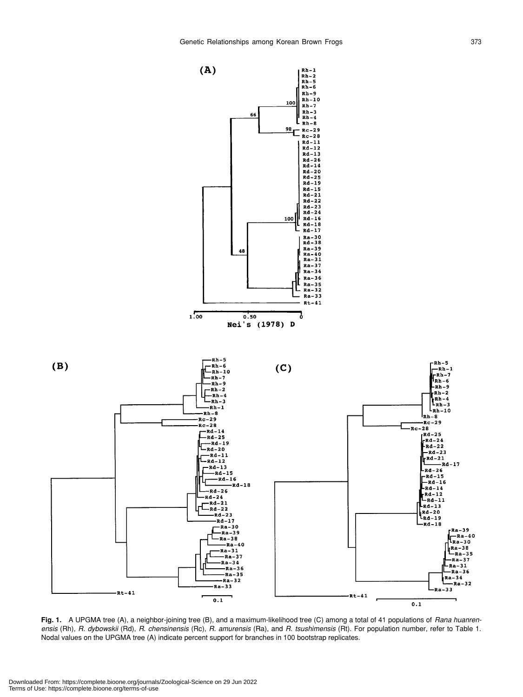

**Fig. 1.** A UPGMA tree (A), a neighbor-joining tree (B), and a maximum-likelihood tree (C) among a total of 41 populations of *Rana huanrenensis* (Rh), *R. dybowskii* (Rd), *R. chensinensis* (Rc), *R. amurensis* (Ra), and *R. tsushimensis* (Rt). For population number, refer to Table 1. Nodal values on the UPGMA tree (A) indicate percent support for branches in 100 bootstrap replicates.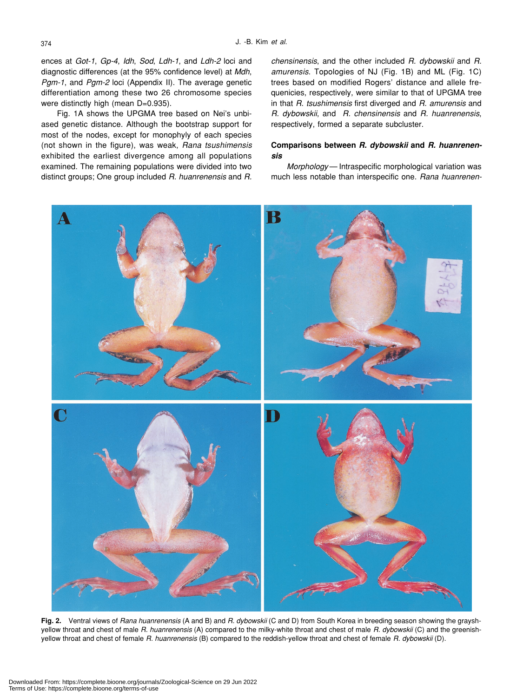ences at *Got-1*, *Gp-4*, *Idh*, *Sod*, *Ldh-1*, and *Ldh-2* loci and diagnostic differences (at the 95% confidence level) at *Mdh*, *Pgm-1*, and *Pgm-2* loci (Appendix II). The average genetic differentiation among these two 26 chromosome species were distinctly high (mean D=0.935).

Fig. 1A shows the UPGMA tree based on Nei's unbiased genetic distance. Although the bootstrap support for most of the nodes, except for monophyly of each species (not shown in the figure), was weak, *Rana tsushimensis* exhibited the earliest divergence among all populations examined. The remaining populations were divided into two distinct groups; One group included *R. huanrenensis* and *R.*

*chensinensis*, and the other included *R. dybowskii* and *R. amurensis*. Topologies of NJ (Fig. 1B) and ML (Fig. 1C) trees based on modified Rogers' distance and allele frequenicies, respectively, were similar to that of UPGMA tree in that *R. tsushimensis* first diverged and *R. amurensis* and *R. dybowskii*, and *R. chensinensis* and *R. huanrenensis*, respectively, formed a separate subcluster.

# **Comparisons between** *R. dybowskii* **and** *R. huanrenensis*

*Morphology* — Intraspecific morphological variation was much less notable than interspecific one. *Rana huanrenen-*



**Fig. 2.** Ventral views of *Rana huanrenensis* (A and B) and *R. dybowskii* (C and D) from South Korea in breeding season showing the grayshyellow throat and chest of male *R. huanrenensis* (A) compared to the milky-white throat and chest of male *R. dybowskii* (C) and the greenishyellow throat and chest of female *R. huanrenensis* (B) compared to the reddish-yellow throat and chest of female *R. dybowskii* (D).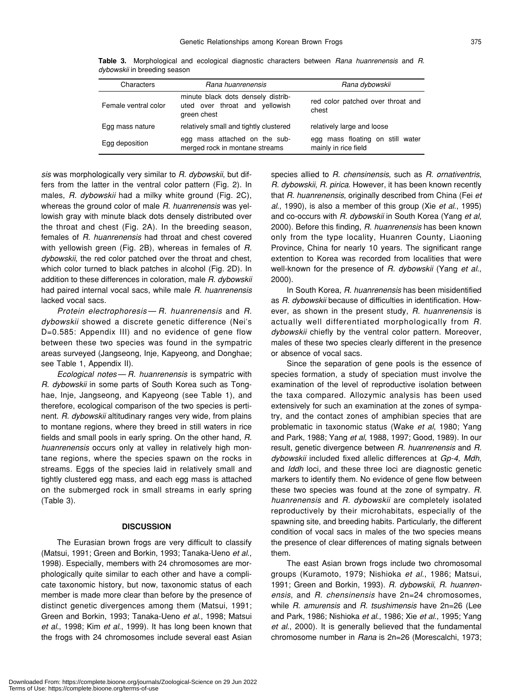| Characters           | Rana huanrenensis                                                                   | Rana dybowskii                                           |
|----------------------|-------------------------------------------------------------------------------------|----------------------------------------------------------|
| Female ventral color | minute black dots densely distrib-<br>uted over throat and yellowish<br>green chest | red color patched over throat and<br>chest               |
| Egg mass nature      | relatively small and tightly clustered                                              | relatively large and loose                               |
| Egg deposition       | egg mass attached on the sub-<br>merged rock in montane streams                     | egg mass floating on still water<br>mainly in rice field |

**Table 3.** Morphological and ecological diagnostic characters between *Rana huanrenensis* and *R. dybowskii* in breeding season

*sis* was morphologically very similar to *R. dybowskii*, but differs from the latter in the ventral color pattern (Fig. 2). In males, *R. dybowskii* had a milky white ground (Fig. 2C), whereas the ground color of male *R. huanrenensis* was yellowish gray with minute black dots densely distributed over the throat and chest (Fig. 2A). In the breeding season, females of *R. huanrenensis* had throat and chest covered with yellowish green (Fig. 2B), whereas in females of *R. dybowskii*, the red color patched over the throat and chest, which color turned to black patches in alcohol (Fig. 2D). In addition to these differences in coloration, male *R. dybowskii* had paired internal vocal sacs, while male *R. huanrenensis* lacked vocal sacs.

*Protein electrophoresis* — *R. huanrenensis* and *R. dybowskii* showed a discrete genetic difference (Nei's D=0.585: Appendix III) and no evidence of gene flow between these two species was found in the sympatric areas surveyed (Jangseong, Inje, Kapyeong, and Donghae; see Table 1, Appendix II).

*Ecological notes* — *R. huanrenensis* is sympatric with *R. dybowskii* in some parts of South Korea such as Tonghae, Inje, Jangseong, and Kapyeong (see Table 1), and therefore, ecological comparison of the two species is pertinent. *R. dybowskii* altitudinary ranges very wide, from plains to montane regions, where they breed in still waters in rice fields and small pools in early spring. On the other hand, *R. huanrenensis* occurs only at valley in relatively high montane regions, where the species spawn on the rocks in streams. Eggs of the species laid in relatively small and tightly clustered egg mass, and each egg mass is attached on the submerged rock in small streams in early spring (Table 3).

# **DISCUSSION**

The Eurasian brown frogs are very difficult to classify (Matsui, 1991; Green and Borkin, 1993; Tanaka-Ueno *et al*., 1998). Especially, members with 24 chromosomes are morphologically quite similar to each other and have a complicate taxonomic history, but now, taxonomic status of each member is made more clear than before by the presence of distinct genetic divergences among them (Matsui, 1991; Green and Borkin, 1993; Tanaka-Ueno *et al*., 1998; Matsui *et al*., 1998; Kim *et al*., 1999). It has long been known that the frogs with 24 chromosomes include several east Asian species allied to *R. chensinensis*, such as *R. ornativentris*, *R. dybowskii*, *R. pirica*. However, it has been known recently that *R. huanrenensis*, originally described from China (Fei *et al*., 1990), is also a member of this group (Xie *et al*., 1995) and co-occurs with *R. dybowskii* in South Korea (Yang *et al*, 2000). Before this finding, *R. huanrenensis* has been known only from the type locality, Huanren County, Liaoning Province, China for nearly 10 years. The significant range extention to Korea was recorded from localities that were well-known for the presence of *R. dybowskii* (Yang *et al*., 2000).

In South Korea, *R. huanrenensis* has been misidentified as *R. dybowskii* because of difficulties in identification. However, as shown in the present study, *R. huanrenensis* is actually well differentiated morphologically from *R. dybowskii* chiefly by the ventral color pattern. Moreover, males of these two species clearly different in the presence or absence of vocal sacs.

Since the separation of gene pools is the essence of species formation, a study of speciation must involve the examination of the level of reproductive isolation between the taxa compared. Allozymic analysis has been used extensively for such an examination at the zones of sympatry, and the contact zones of amphibian species that are problematic in taxonomic status (Wake *et al*, 1980; Yang and Park, 1988; Yang *et al*, 1988, 1997; Good, 1989). In our result, genetic divergence between *R. huanrenensis* and *R. dybowskii* included fixed allelic differences at *Gp-4*, *Mdh*, and *Iddh* loci, and these three loci are diagnostic genetic markers to identify them. No evidence of gene flow between these two species was found at the zone of sympatry. *R. huanrenensis* and *R. dybowskii* are completely isolated reproductively by their microhabitats, especially of the spawning site, and breeding habits. Particularly, the different condition of vocal sacs in males of the two species means the presence of clear differences of mating signals between them.

The east Asian brown frogs include two chromosomal groups (Kuramoto, 1979; Nishioka *et al*., 1986; Matsui, 1991; Green and Borkin, 1993). *R. dybowskii*, *R. huanrenensis*, and *R. chensinensis* have 2n=24 chromosomes, while *R. amurensis* and *R. tsushimensis* have 2n=26 (Lee and Park, 1986; Nishioka *et al*., 1986; Xie *et al*., 1995; Yang *et al*., 2000). It is generally believed that the fundamental chromosome number in *Rana* is 2n=26 (Morescalchi, 1973;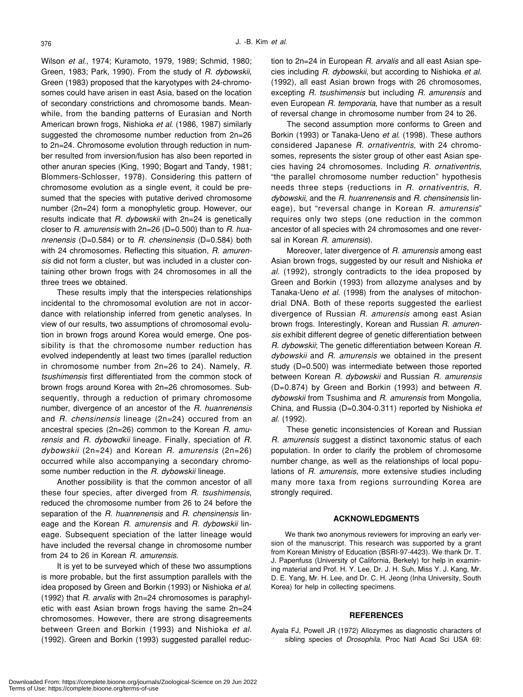Wilson *et al*., 1974; Kuramoto, 1979, 1989; Schmid, 1980; Green, 1983; Park, 1990). From the study of *R. dybowskii*, Green (1983) proposed that the karyotypes with 24-chromosomes could have arisen in east Asia, based on the location of secondary constrictions and chromosome bands. Meanwhile, from the banding patterns of Eurasian and North American brown frogs, Nishioka *et al*. (1986, 1987) similarly suggested the chromosome number reduction from 2n=26 to 2n=24. Chromosome evolution through reduction in number resulted from inversion/fusion has also been reported in other anuran species (King, 1990; Bogart and Tandy, 1981; Blommers-Schlosser, 1978). Considering this pattern of chromosome evolution as a single event, it could be presumed that the species with putative derived chromosome number (2n=24) form a monophyletic group. However, our results indicate that *R. dybowskii* with 2n=24 is genetically closer to *R. amurensis* with 2n=26 (D=0.500) than to *R. huanrenensis* (D=0.584) or to *R. chensinensis* (D=0.584) both with 24 chromosomes. Reflecting this situation, *R. amurensis* did not form a cluster, but was included in a cluster containing other brown frogs with 24 chromosomes in all the three trees we obtained.

These results imply that the interspecies relationships incidental to the chromosomal evolution are not in accordance with relationship inferred from genetic analyses. In view of our results, two assumptions of chromosomal evolution in brown frogs around Korea would emerge. One possibility is that the chromosome number reduction has evolved independently at least two times (parallel reduction in chromosome number from 2n=26 to 24). Namely, *R. tsushimensis* first differentiated from the common stock of brown frogs around Korea with 2n=26 chromosomes. Subsequently, through a reduction of primary chromosome number, divergence of an ancestor of the *R. huanrenensis* and *R. chensinensis* lineage (2n=24) occured from an ancestral species (2n=26) common to the Korean *R. amurensis* and *R. dybowdkii* lineage. Finally, speciation of *R. dybowskii* (2n=24) and Korean *R. amurensis* (2n=26) occurred while also accompanying a secondary chromosome number reduction in the *R. dybowskii* lineage.

Another possibility is that the common ancestor of all these four species, after diverged from *R. tsushimensis*, reduced the chromosome number from 26 to 24 before the separation of the *R. huanrenensis* and *R. chensinensis* lineage and the Korean *R. amurensis* and *R. dybowskii* lineage. Subsequent speciation of the latter lineage would have included the reversal change in chromosome number from 24 to 26 in Korean *R. amurensis*.

It is yet to be surveyed which of these two assumptions is more probable, but the first assumption parallels with the idea proposed by Green and Borkin (1993) or Nishioka *et al*. (1992) that *R. arvalis* with 2n=24 chromosomes is paraphyletic with east Asian brown frogs having the same 2n=24 chromosomes. However, there are strong disagreements between Green and Borkin (1993) and Nishioka *et al*. (1992). Green and Borkin (1993) suggested parallel reduction to 2n=24 in European *R. arvalis* and all east Asian species including *R. dybowskii*, but according to Nishioka *et al*. (1992), all east Asian brown frogs with 26 chromosomes, excepting *R. tsushimensis* but including *R. amurensis* and even European *R. temporaria*, have that number as a result of reversal change in chromosome number from 24 to 26.

The second assumption more conforms to Green and Borkin (1993) or Tanaka-Ueno *et al*. (1998). These authors considered Japanese *R. ornativentris*, with 24 chromosomes, represents the sister group of other east Asian species having 24 chromosomes. Including *R. ornativentris*, "the parallel chromosome number reduction" hypothesis needs three steps (reductions in *R. ornativentris*, *R. dybowskii*, and the *R. huanrenensis* and *R. chensinensis* lineage), but "reversal change in Korean *R. amurensis*" requires only two steps (one reduction in the common ancestor of all species with 24 chromosomes and one reversal in Korean *R. amurensis*).

Moreover, later divergence of *R. amurensis* among east Asian brown frogs, suggested by our result and Nishioka *et al*. (1992), strongly contradicts to the idea proposed by Green and Borkin (1993) from allozyme analyses and by Tanaka-Ueno *et al*. (1998) from the analyses of mitochondrial DNA. Both of these reports suggested the earliest divergence of Russian *R. amurensis* among east Asian brown frogs. Interestingly, Korean and Russian *R. amurensis* exhibit different degree of genetic differentiation between *R. dybowskii*; The genetic differentiation between Korean *R. dybowskii* and *R. amurensis* we obtained in the present study (D=0.500) was intermediate between those reported between Korean *R. dybowskii* and Russian *R. amurensis* (D=0.874) by Green and Borkin (1993) and between *R. dybowskii* from Tsushima and *R. amurensis* from Mongolia, China, and Russia (D=0.304-0.311) reported by Nishioka *et al*. (1992).

These genetic inconsistencies of Korean and Russian *R. amurensis* suggest a distinct taxonomic status of each population. In order to clarify the problem of chromosome number change, as well as the relationships of local populations of *R. amurensis*, more extensive studies including many more taxa from regions surrounding Korea are strongly required.

# **ACKNOWLEDGMENTS**

We thank two anonymous reviewers for improving an early version of the manuscript. This research was supported by a grant from Korean Ministry of Education (BSRI-97-4423). We thank Dr. T. J. Papenfuss (University of California, Berkely) for help in examining material and Prof. H. Y. Lee, Dr. J. H. Suh, Miss Y. J. Kang, Mr. D. E. Yang, Mr. H. Lee, and Dr. C. H. Jeong (Inha University, South Korea) for help in collecting specimens.

#### **REFERENCES**

Ayala FJ, Powell JR (1972) Allozymes as diagnostic characters of sibling species of *Drosophila*. Proc Natl Acad Sci USA 69: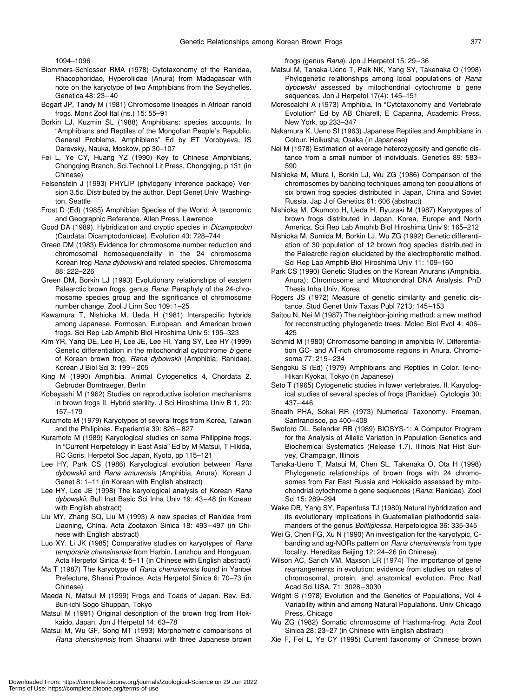1094–1096

- Blommers-Schlosser RMA (1978) Cytotaxonomy of the Ranidae, Rhacophoridae, Hyperoliidae (Anura) from Madagascar with note on the karyotype of two Amphibians from the Seychelles. Genetica 48: 23–40
- Bogart JP, Tandy M (1981) Chromosome lineages in African ranoid frogs. Monit Zool Ital (ns.) 15: 55–91
- Borkin LJ, Kuzmin SL (1988) Amphibians: species accounts. In "Amphibians and Reptiles of the Mongolian People's Republic. General Problems. Amphibians" Ed by ET Vorobyeva, IS Darevsky, Nauka, Moskow, pp 30–107
- Fei L, Ye CY, Huang YZ (1990) Key to Chinese Amphibians. Chongqing Branch, Sci.Technol Lit Press, Chongqing, p 131 (in Chinese)
- Felsenstein J (1993) PHYLIP (phylogeny inference package) Version 3.5c. Distributed by the author. Dept Genet Univ Washington, Seattle
- Frost D (Ed) (1985) Amphibian Species of the World: A taxonomic and Geographic Reference. Allen Press, Lawrence
- Good DA (1989). Hybridization and cryptic species in *Dicamptodon* (Caudata: Dicamptodontidae). Evolution 43: 728–744
- Green DM (1983) Evidence for chromosome number reduction and chromosomal homosequenciality in the 24 chromosome Korean frog *Rana dybowskii* and related species. Chromosoma 88: 222–226
- Green DM, Borkin LJ (1993) Evolutionary relationships of eastern Palearctic brown frogs, genus *Rana*: Paraphyly of the 24-chromosome species group and the significance of chromosome number change. Zool J Linn Soc 109: 1–25
- Kawamura T, Nishioka M, Ueda H (1981) Interspecific hybrids among Japanese, Formosan, European, and American brown frogs. Sci Rep Lab Amphib Biol Hiroshima Univ 5: 195–323
- Kim YR, Yang DE, Lee H, Lee JE, Lee HI, Yang SY, Lee HY (1999) Genetic differentiation in the mitochondrial cytochrome *b* gene of Korean brown frog, *Rana dybowskii* (Amphibia; Ranidae). Korean J Biol Sci 3: 199 – 205
- King M (1990) Amphibia. Animal Cytogenetics 4, Chordata 2. Gebruder Borntraeger, Berlin
- Kobayashi M (1962) Studies on reproductive isolation mechanisms in brown frogs II. Hybrid sterility. J Sci Hiroshima Univ B 1, 20: 157–179
- Kuramoto M (1979) Karyotypes of several frogs from Korea, Taiwan and the Philipines. Experientia 39: 826 – 827
- Kuramoto M (1989) Karyological studies on some Philippine frogs. In "Current Herpetology in East Asia" Ed by M Matsui, T Hikida, RC Goris, Herpetol Soc Japan, Kyoto, pp 115–121
- Lee HY, Park CS (1986) Karyological evolution between *Rana dybowskii* and *Rana amurensis* (Amphibia, Anura). Korean J Genet 8: 1–11 (in Korean with English abstract)
- Lee HY, Lee JE (1998) The karyological analysis of Korean *Rana dybowskii*. Bull Inst Basic Sci Inha Univ 19: 43–48 (in Korean with English abstract)
- Liu MY, Zhang SQ, Liu M (1993) A new species of Ranidae from Liaoning, China. Acta Zootaxon Sinica 18: 493–497 (in Chinese with English abstract)
- Luo XY, Li JK (1985) Comparative studies on karyotypes of *Rana temporaria chensinensis* from Harbin, Lanzhou and Hongyuan. Acta Herpetol Sinica 4: 5–11 (in Chinese with English abstract)
- Ma T (1987) The karyotype of *Rana chensinensis* found in Yanbei Prefecture, Shanxi Province. Acta Herpetol Sinica 6: 70–73 (in Chinese)
- Maeda N, Matsui M (1999) Frogs and Toads of Japan. Rev. Ed. Bun-ichi Sogo Shuppan, Tokyo
- Matsui M (1991) Original description of the brown frog from Hokkaido, Japan. Jpn J Herpetol 14: 63–78
- Matsui M, Wu GF, Song MT (1993) Morphometric comparisons of *Rana chensinensis* from Shaanxi with three Japanese brown

frogs (genus *Rana*). Jpn J Herpetol 15: 29–36

- Matsui M, Tanaka-Ueno T, Paik NK, Yang SY, Takenaka O (1998) Phylogenetic relationships among local populations of *Rana dybowskii* assessed by mitochondrial cytochrome b gene sequences. Jpn J Herpetol 17(4): 145–151
- Morescalchi A (1973) Amphibia. In "Cytotaxonomy and Vertebrate Evolution" Ed by AB Chiarell, E Capanna, Academic Press, New York. pp 233–347
- Nakamura K, Ueno SI (1963) Japanese Reptiles and Amphibians in Colour. Hoikusha, Osaka (in Japanese)
- Nei M (1978) Estimation of average heterozygosity and genetic distance from a small number of individuals. Genetics 89: 583– 590
- Nishioka M, Miura I, Borkin LJ, Wu ZG (1986) Comparison of the chromosomes by banding techniques among ten populations of six brown frog species distributed in Japan, China and Soviet Russia. Jap J of Genetics 61: 606 (abstract)
- Nishioka M, Okumoto H, Ueda H, Ryuzaki M (1987) Karyotypes of brown frogs distributed in Japan, Korea, Europe and North America. Sci Rep Lab Amphib Biol Hiroshima Univ 9: 165–212
- Nishioka M, Sumida M, Borkin LJ, Wu ZG (1992) Genetic differentiation of 30 population of 12 brown frog species distributed in the Palearctic region elucidated by the electrophoretic method. Sci Rep Lab Amphib Biol Hiroshima Univ 11: 109–160
- Park CS (1990) Genetic Studies on the Korean Anurans (Amphibia, Anura): Chromosome and Mitochondrial DNA Analysis. PhD Thesis Inha Univ, Korea
- Rogers JS (1972) Measure of genetic similarity and genetic distance. Stud Genet Univ Taxas Publ 7213: 145–153
- Saitou N, Nei M (1987) The neighbor-joining method: a new method for reconstructing phylogenetic trees. Molec Biol Evol 4: 406– 425
- Schmid M (1980) Chromosome banding in amphibia IV. Differentiation GC- and AT-rich chromosome regions in Anura. Chromosoma 77: 215–234
- Sengoku S (Ed) (1979) Amphibians and Reptiles in Color. Ie-no-Hikari Kyokai, Tokyo (in Japanese)
- Seto T (1965) Cytogenetic studies in lower vertebrates. II. Karyological studies of several species of frogs (Ranidae). Cytologia 30: 437–446
- Sneath PHA, Sokal RR (1973) Numerical Taxonomy. Freeman, Sanfrancisco, pp 400–408
- Swoford DL, Selander RB (1989) BIOSYS-1: A Computor Program for the Analysis of Allelic Variation in Population Genetics and Biochemical Systematics (Release 1.7). Illinois Nat Hist Survey, Champaign, Illinois
- Tanaka-Ueno T, Matsui M, Chen SL, Takenaka O, Ota H (1998) Phylogenetic relationships of brown frogs with 24 chromosomes from Far East Russia and Hokkaido assessed by mitochondrial cytochrome b gene sequences (*Rana*: Ranidae). Zool Sci 15: 289–294
- Wake DB, Yang SY, Papenfuss TJ (1980) Natural hybridization and its evolutionary implications in Guatemalian plethodontid salamanders of the genus *Bolitiglossa*. Herpetologica 36: 335-345
- Wei G, Chen FG, Xu N (1990) An investigation for the karyotypic, Cbanding and ag-NORs pattern on *Rana chensinensis* from type locality. Hereditas Beijing 12: 24–26 (in Chinese)
- Wilson AC, Sarich VM, Maxson LR (1974) The importance of gene rearrangements in evolution: evidence from studies on rates of chromosomal, protein, and anatomical evolution. Proc Natl Acad Sci USA. 71: 3028–3030
- Wright S (1978) Evolution and the Genetics of Populations, Vol 4 Variability within and among Natural Populations. Univ Chicago Press, Chicago
- Wu ZG (1982) Somatic chromosome of Hashima-frog. Acta Zool Sinica 28: 23–27 (in Chinese with English abstract)
- Xie F, Fei L, Ye CY (1995) Current taxonomy of Chinese brown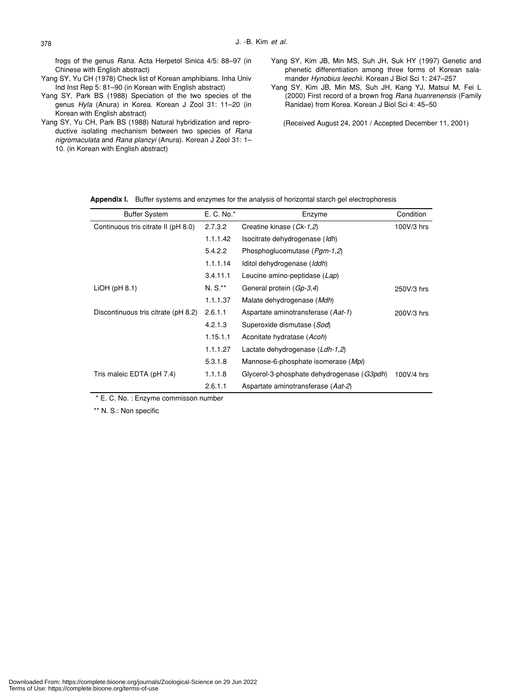frogs of the genus *Rana*. Acta Herpetol Sinica 4/5: 88–97 (in Chinese with English abstract)

- Yang SY, Yu CH (1978) Check list of Korean amphibians. Inha Univ Ind Inst Rep 5: 81–90 (in Korean with English abstract)
- Yang SY, Park BS (1988) Speciation of the two species of the genus *Hyla* (Anura) in Korea. Korean J Zool 31: 11–20 (in Korean with English abstract)
- Yang SY, Yu CH, Park BS (1988) Natural hybridization and reproductive isolating mechanism between two species of *Rana nigromaculata* and *Rana plancyi* (Anura). Korean J Zool 31: 1– 10. (in Korean with English abstract)
- Yang SY, Kim JB, Min MS, Suh JH, Suk HY (1997) Genetic and phenetic differentiation among three forms of Korean salamander *Hynobius leechii*. Korean J Biol Sci 1: 247–257
- Yang SY, Kim JB, Min MS, Suh JH, Kang YJ, Matsui M, Fei L (2000) First record of a brown frog *Rana huanrenensis* (Family Ranidae) from Korea. Korean J Biol Sci 4: 45–50
	- (Received August 24, 2001 / Accepted December 11, 2001)

**Appendix I.** Buffer systems and enzymes for the analysis of horizontal starch gel electrophoresis

| <b>Buffer System</b>                | E. C. No.* | Enzyme                                     | Condition  |
|-------------------------------------|------------|--------------------------------------------|------------|
| Continuous tris citrate II (pH 8.0) | 2.7.3.2    | Creatine kinase (Ck-1,2)                   | 100V/3 hrs |
|                                     | 1.1.1.42   | Isocitrate dehydrogenase (Idh)             |            |
|                                     | 5.4.2.2    | Phosphoglucomutase (Pgm-1,2)               |            |
|                                     | 1.1.1.14   | Iditol dehydrogenase (Iddh)                |            |
|                                     | 3.4.11.1   | Leucine amino-peptidase (Lap)              |            |
| $LiOH$ (pH $8.1$ )                  | $N. S.**$  | General protein (Gp-3,4)                   | 250V/3 hrs |
|                                     | 1.1.1.37   | Malate dehydrogenase (Mdh)                 |            |
| Discontinuous tris citrate (pH 8.2) | 2.6.1.1    | Aspartate aminotransferase (Aat-1)         | 200V/3 hrs |
|                                     | 4.2.1.3    | Superoxide dismutase (Sod)                 |            |
|                                     | 1.15.1.1   | Aconitate hydratase (Acoh)                 |            |
|                                     | 1.1.1.27   | Lactate dehydrogenase (Ldh-1,2)            |            |
|                                     | 5.3.1.8    | Mannose-6-phosphate isomerase (Mpi)        |            |
| Tris maleic EDTA (pH 7.4)           | 1.1.1.8    | Glycerol-3-phosphate dehydrogenase (G3pdh) | 100V/4 hrs |
|                                     | 2.6.1.1    | Aspartate aminotransferase (Aat-2)         |            |

\* E. C. No. : Enzyme commisson number

\*\* N. S.: Non specific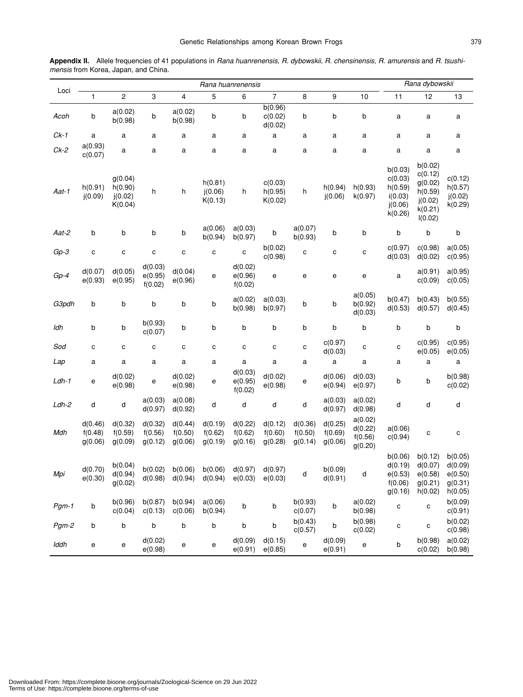| Appendix II. Allele frequencies of 41 populations in Rana huanrenensis, R. dybowskii, R. chensinensis, R. amurensis and R. tsushi- |  |  |  |
|------------------------------------------------------------------------------------------------------------------------------------|--|--|--|
| <i>mensis</i> from Korea, Japan, and China.                                                                                        |  |  |  |

|         |                               |                                          |                               |                               | Rana huanrenensis                                            |                               |                               |                               |                               |                                          |                                                                | Rana dybowskii                                                            |                                                     |
|---------|-------------------------------|------------------------------------------|-------------------------------|-------------------------------|--------------------------------------------------------------|-------------------------------|-------------------------------|-------------------------------|-------------------------------|------------------------------------------|----------------------------------------------------------------|---------------------------------------------------------------------------|-----------------------------------------------------|
| Loci    | 1                             | $\overline{c}$                           | 3                             | 4                             | 5                                                            | 6                             | $\overline{7}$                | 8                             | 9                             | 10                                       | 11                                                             | 12                                                                        | 13                                                  |
| Acoh    | b                             | a(0.02)<br>b(0.98)                       | b                             | a(0.02)<br>b(0.98)            | b                                                            | b                             | b(0.96)<br>c(0.02)<br>d(0.02) | b                             | b                             | b                                        | a                                                              | a                                                                         | a                                                   |
| $Ck-1$  | a                             | a                                        | а                             | а                             | a                                                            | a                             | a                             | а                             | a                             | a                                        | a                                                              | a                                                                         | a                                                   |
| $Ck-2$  | a(0.93)<br>c(0.07)            | a                                        | а                             | a                             | a                                                            | a                             | a                             | a                             | a                             | a                                        | a                                                              | a                                                                         | a                                                   |
| Aat-1   | h(0.91)<br>j(0.09)            | g(0.04)<br>h(0.90)<br>i(0.02)<br>K(0.04) | h                             | h                             | h(0.81)<br>(0.06)<br>K(0.13)                                 | h                             | c(0.03)<br>h(0.95)<br>K(0.02) | h                             | h(0.94)<br>j(0.06)            | h(0.93)<br>k(0.97)                       | b(0.03)<br>c(0.03)<br>h(0.59)<br>i(0.03)<br>j(0.06)<br>k(0.26) | b(0.02)<br>c(0.12)<br>g(0.02)<br>h(0.59)<br>j(0.02)<br>k(0.21)<br>I(0.02) | c(0.12)<br>h(0.57)<br>j(0.02)<br>k(0.29)            |
| Aat-2   | b                             | b                                        | b                             | b                             | a(0.06)<br>b(0.94)                                           | a(0.03)<br>b(0.97)            | b                             | a(0.07)<br>b(0.93)            | b                             | b                                        | b                                                              | b                                                                         | b                                                   |
| $Gp-3$  | C                             | C                                        | С                             | С                             | C                                                            | C                             | b(0.02)<br>c(0.98)            | C                             | C                             | C                                        | c(0.97)<br>d(0.03)                                             | c(0.98)<br>d(0.02)                                                        | a(0.05)<br>c(0.95)                                  |
| $Gp-4$  | d(0.07)<br>e(0.93)            | d(0.05)<br>e(0.95)                       | d(0.03)<br>e(0.95)<br>f(0.02) | d(0.04)<br>e(0.96)            | e                                                            | d(0.02)<br>e(0.96)<br>f(0.02) | е                             | е                             | е                             | е                                        | a                                                              | a(0.91)<br>c(0.09)                                                        | a(0.95)<br>c(0.05)                                  |
| G3pdh   | b                             | b                                        | b                             | b                             | b                                                            | a(0.02)<br>b(0.98)            | a(0.03)<br>b(0.97)            | b                             | b                             | a(0.05)<br>b(0.92)<br>d(0.03)            | b(0.47)<br>d(0.53)                                             | b(0.43)<br>d(0.57)                                                        | b(0.55)<br>d(0.45)                                  |
| ldh     | b                             | b                                        | b(0.93)<br>c(0.07)            | b                             | b                                                            | b                             | b                             | b                             | b                             | b                                        | b                                                              | b                                                                         | b                                                   |
| Sod     | $\mathbf c$                   | c                                        | C                             | С                             | C                                                            | C                             | c                             | с                             | c(0.97)<br>d(0.03)            | C                                        | C                                                              | c(0.95)<br>e(0.05)                                                        | c(0.95)<br>e(0.05)                                  |
| Lap     | a                             | a                                        | a                             | a                             | a                                                            | a                             | а                             | а                             | a                             | a                                        | a                                                              | a                                                                         | a                                                   |
| $Ldh-1$ | е                             | d(0.02)<br>e(0.98)                       | е                             | d(0.02)<br>e(0.98)            | е                                                            | d(0.03)<br>e(0.95)<br>f(0.02) | d(0.02)<br>e(0.98)            | е                             | d(0.06)<br>e(0.94)            | d(0.03)<br>e(0.97)                       | b                                                              | b                                                                         | b(0.98)<br>c(0.02)                                  |
| $Ldh-2$ | d                             | d                                        | a(0.03)<br>d(0.97)            | a(0.08)<br>d(0.92)            | d                                                            | d                             | d                             | d                             | a(0.03)<br>d(0.97)            | a(0.02)<br>d(0.98)                       | d                                                              | d                                                                         | d                                                   |
| Mdh     | d(0.46)<br>f(0.48)<br>g(0.06) | d(0.32)<br>f(0.59)<br>g(0.09)            | d(0.32)<br>f(0.56)<br>g(0.12) | d(0.44)<br>f(0.50)<br>g(0.06) | d(0.19)<br>f(0.62)<br>g(0.19)                                | d(0.22)<br>f(0.62)<br>g(0.16) | d(0.12)<br>f(0.60)<br>g(0.28) | d(0.36)<br>f(0.50)<br>g(0.14) | d(0.25)<br>f(0.69)<br>g(0.06) | a(0.02)<br>d(0.22)<br>f(0.56)<br>g(0.20) | a(0.06)<br>c(0.94)                                             | С                                                                         | C                                                   |
| Mpi     | d(0.70)<br>e(0.30)            | b(0.04)<br>d(0.94)<br>g(0.02)            | d(0.98)                       | d(0.94)                       | $b(0.02)$ $b(0.06)$ $b(0.06)$ $d(0.97)$ $d(0.97)$<br>d(0.94) | e(0.03)                       | e(0.03)                       | d                             | b(0.09)<br>d(0.91)            | d                                        | b(0.06)<br>d(0.19)<br>e(0.53)<br>f(0.06)<br>g(0.16)            | b(0.12)<br>d(0.07)<br>e(0.58)<br>g(0.21)<br>h(0.02)                       | b(0.05)<br>d(0.09)<br>e(0.50)<br>g(0.31)<br>h(0.05) |
| $Pgm-1$ | b                             | b(0.96)<br>c(0.04)                       | b(0.87)<br>c(0.13)            | b(0.94)<br>c(0.06)            | a(0.06)<br>b(0.94)                                           | b                             | b                             | b(0.93)<br>c(0.07)            | b                             | a(0.02)<br>b(0.98)                       | c                                                              | c                                                                         | b(0.09)<br>c(0.91)                                  |
| Pgm-2   | b                             | b                                        | b                             | b                             | b                                                            | b                             | b                             | b(0.43)<br>c(0.57)            | b                             | b(0.98)<br>c(0.02)                       | C                                                              | С                                                                         | b(0.02)<br>c(0.98)                                  |
| Iddh    | е                             | e                                        | d(0.02)<br>e(0.98)            | е                             | е                                                            | d(0.09)<br>e(0.91)            | d(0.15)<br>e(0.85)            | е                             | d(0.09)<br>e(0.91)            | е                                        | b                                                              | b(0.98)<br>c(0.02)                                                        | a(0.02)<br>b(0.98)                                  |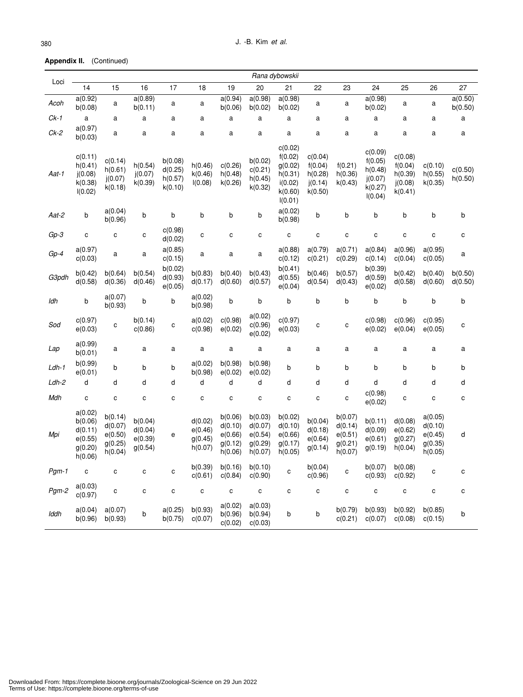**Appendix II.** (Continued)

| Loci    |                                                                |                                                     |                                          |                                          |                                          |                                                     |                                                     | Rana dybowskii                                                            |                                                     |                                                     |                                                                |                                                     |                                                     |                    |
|---------|----------------------------------------------------------------|-----------------------------------------------------|------------------------------------------|------------------------------------------|------------------------------------------|-----------------------------------------------------|-----------------------------------------------------|---------------------------------------------------------------------------|-----------------------------------------------------|-----------------------------------------------------|----------------------------------------------------------------|-----------------------------------------------------|-----------------------------------------------------|--------------------|
|         | 14                                                             | 15                                                  | 16                                       | 17                                       | 18                                       | 19                                                  | 20                                                  | 21                                                                        | 22                                                  | 23                                                  | 24                                                             | 25                                                  | 26                                                  | 27                 |
| Acoh    | a(0.92)<br>b(0.08)                                             | a                                                   | a(0.89)<br>b(0.11)                       | a                                        | a                                        | a(0.94)<br>b(0.06)                                  | a(0.98)<br>b(0.02)                                  | a(0.98)<br>b(0.02)                                                        | a                                                   | a                                                   | a(0.98)<br>b(0.02)                                             | a                                                   | a                                                   | a(0.50)<br>b(0.50) |
| $Ck-1$  | $\mathsf a$                                                    | a                                                   | a                                        | a                                        | a                                        | a                                                   | a                                                   | a                                                                         | a                                                   | a                                                   | a                                                              | a                                                   | a                                                   | a                  |
| $Ck-2$  | a(0.97)<br>b(0.03)                                             | a                                                   | a                                        | a                                        | a                                        | a                                                   | a                                                   | a                                                                         | a                                                   | a                                                   | a                                                              | a                                                   | a                                                   | a                  |
| Aat-1   | c(0.11)<br>h(0.41)<br>j(0.08)<br>k(0.38)<br>I(0.02)            | c(0.14)<br>h(0.61)<br>j(0.07)<br>k(0.18)            | h(0.54)<br>j(0.07)<br>k(0.39)            | b(0.08)<br>d(0.25)<br>h(0.57)<br>k(0.10) | h(0.46)<br>k(0.46)<br>I(0.08)            | c(0.26)<br>h(0.48)<br>k(0.26)                       | b(0.02)<br>c(0.21)<br>h(0.45)<br>k(0.32)            | c(0.02)<br>f(0.02)<br>g(0.02)<br>h(0.31)<br>i(0.02)<br>k(0.60)<br>I(0.01) | c(0.04)<br>f(0.04)<br>h(0.28)<br>i(0.14)<br>k(0.50) | f(0.21)<br>h(0.36)<br>k(0.43)                       | c(0.09)<br>f(0.05)<br>h(0.48)<br>j(0.07)<br>k(0.27)<br>I(0.04) | c(0.08)<br>f(0.04)<br>h(0.39)<br>i(0.08)<br>k(0.41) | c(0.10)<br>h(0.55)<br>k(0.35)                       | c(0.50)<br>h(0.50) |
| Aat-2   | b                                                              | a(0.04)<br>b(0.96)                                  | b                                        | b                                        | b                                        | b                                                   | b                                                   | a(0.02)<br>b(0.98)                                                        | b                                                   | b                                                   | b                                                              | b                                                   | b                                                   | b                  |
| $Gp-3$  | C                                                              | C                                                   | $\mathbf{C}$                             | c(0.98)<br>d(0.02)                       | C                                        | C                                                   | c                                                   | $\mathbf{C}$                                                              | $\mathbf c$                                         | C                                                   | C                                                              | C                                                   | C                                                   | $\mathbf c$        |
| $Gp-4$  | a(0.97)<br>c(0.03)                                             | a                                                   | a                                        | a(0.85)<br>c(0.15)                       | а                                        | a                                                   | а                                                   | a(0.88)<br>c(0.12)                                                        | a(0.79)<br>c(0.21)                                  | a(0.71)<br>c(0.29)                                  | a(0.84)<br>c(0.14)                                             | a(0.96)<br>c(0.04)                                  | a(0.95)<br>c(0.05)                                  | a                  |
| G3pdh   | b(0.42)<br>d(0.58)                                             | b(0.64)<br>d(0.36)                                  | b(0.54)<br>d(0.46)                       | b(0.02)<br>d(0.93)<br>e(0.05)            | b(0.83)<br>d(0.17)                       | b(0.40)<br>d(0.60)                                  | b(0.43)<br>d(0.57)                                  | b(0.41)<br>d(0.55)<br>e(0.04)                                             | b(0.46)<br>d(0.54)                                  | b(0.57)<br>d(0.43)                                  | b(0.39)<br>d(0.59)<br>e(0.02)                                  | b(0.42)<br>d(0.58)                                  | b(0.40)<br>d(0.60)                                  | b(0.50)<br>d(0.50) |
| ldh     | b                                                              | a(0.07)<br>b(0.93)                                  | b                                        | b                                        | a(0.02)<br>b(0.98)                       | b                                                   | b                                                   | b                                                                         | b                                                   | b                                                   | b                                                              | b                                                   | b                                                   | b                  |
| Sod     | c(0.97)<br>e(0.03)                                             | с                                                   | b(0.14)<br>c(0.86)                       | с                                        | a(0.02)<br>c(0.98)                       | c(0.98)<br>e(0.02)                                  | a(0.02)<br>c(0.96)<br>e(0.02)                       | c(0.97)<br>e(0.03)                                                        | С                                                   | с                                                   | c(0.98)<br>e(0.02)                                             | c(0.96)<br>e(0.04)                                  | c(0.95)<br>e(0.05)                                  | c                  |
| Lap     | a(0.99)<br>b(0.01)                                             | a                                                   | a                                        | a                                        | a                                        | a                                                   | a                                                   | a                                                                         | a                                                   | a                                                   | a                                                              | a                                                   | a                                                   | a                  |
| $Ldh-1$ | b(0.99)<br>e(0.01)                                             | b                                                   | b                                        | b                                        | a(0.02)<br>b(0.98)                       | b(0.98)<br>e(0.02)                                  | b(0.98)<br>e(0.02)                                  | b                                                                         | b                                                   | b                                                   | b                                                              | b                                                   | b                                                   | b                  |
| $Ldh-2$ | d                                                              | d                                                   | d                                        | d                                        | d                                        | d                                                   | d                                                   | d                                                                         | d                                                   | d                                                   | d                                                              | d                                                   | d                                                   | d                  |
| Mdh     | C                                                              | $\mathbf{C}$                                        | $\mathbf{C}$                             | C                                        | C                                        | C                                                   | С                                                   | С                                                                         | C                                                   | С                                                   | c(0.98)<br>e(0.02)                                             | C                                                   | C                                                   | C                  |
| Mpi     | a(0.02)<br>b(0.06)<br>d(0.11)<br>e(0.55)<br>g(0.20)<br>h(0.06) | b(0.14)<br>d(0.07)<br>e(0.50)<br>g(0.25)<br>h(0.04) | b(0.04)<br>d(0.04)<br>e(0.39)<br>g(0.54) | е                                        | d(0.02)<br>e(0.46)<br>g(0.45)<br>h(0.07) | b(0.06)<br>d(0.10)<br>e(0.66)<br>g(0.12)<br>h(0.06) | b(0.03)<br>d(0.07)<br>e(0.54)<br>g(0.29)<br>h(0.07) | b(0.02)<br>d(0.10)<br>e(0.66)<br>g(0.17)<br>h(0.05)                       | b(0.04)<br>d(0.18)<br>e(0.64)<br>g(0.14)            | b(0.07)<br>d(0.14)<br>e(0.51)<br>g(0.21)<br>h(0.07) | b(0.11)<br>d(0.09)<br>e(0.61)<br>g(0.19)                       | d(0.08)<br>e(0.62)<br>g(0.27)<br>h(0.04)            | a(0.05)<br>d(0.10)<br>e(0.45)<br>g(0.35)<br>h(0.05) | d                  |
| $Pgm-1$ | C                                                              | $\mathbf{C}$                                        | С                                        | С                                        | b(0.39)<br>c(0.61)                       | b(0.16)<br>c(0.84)                                  | b(0.10)<br>c(0.90)                                  | с                                                                         | b(0.04)<br>c(0.96)                                  | с                                                   | b(0.07)<br>c(0.93)                                             | b(0.08)<br>c(0.92)                                  | C                                                   | C                  |
| $Pgm-2$ | a(0.03)<br>c(0.97)                                             | $\mathbf{C}$                                        | C                                        | $\mathbf{C}$                             | $\mathbf{C}$                             | $\mathbf{C}$                                        | $\mathbf{C}$                                        | c                                                                         | c                                                   | C                                                   | C                                                              | C                                                   | C                                                   | $\mathbf{C}$       |
| Iddh    | a(0.04)<br>b(0.96)                                             | a(0.07)<br>b(0.93)                                  | b                                        | a(0.25)<br>b(0.75)                       | b(0.93)<br>c(0.07)                       | a(0.02)<br>b(0.96)<br>c(0.02)                       | a(0.03)<br>b(0.94)<br>c(0.03)                       | b                                                                         | b                                                   | b(0.79)<br>c(0.21)                                  | b(0.93)<br>c(0.07)                                             | b(0.92)<br>c(0.08)                                  | b(0.85)<br>c(0.15)                                  | b                  |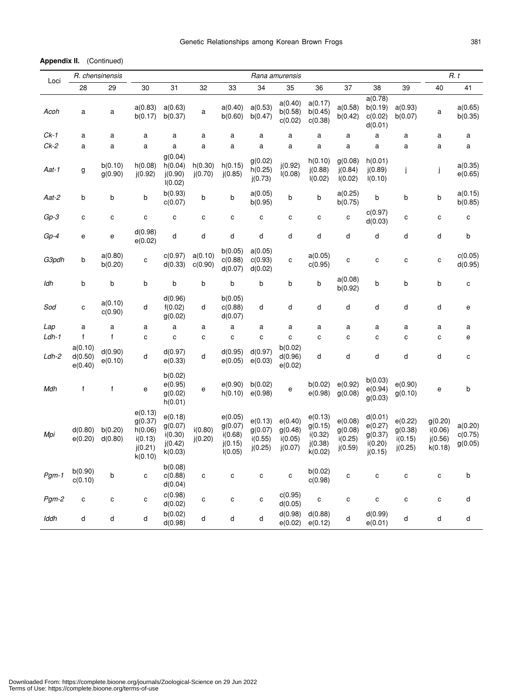**Appendix II.** (Continued)

| Loci    |                               | R. chensinensis    |                                                                |                                                     |                    |                                                     |                                          | Rana amurensis                           |                                                     |                                          |                                                     |                                          |                                          | R. t                          |
|---------|-------------------------------|--------------------|----------------------------------------------------------------|-----------------------------------------------------|--------------------|-----------------------------------------------------|------------------------------------------|------------------------------------------|-----------------------------------------------------|------------------------------------------|-----------------------------------------------------|------------------------------------------|------------------------------------------|-------------------------------|
|         | 28                            | 29                 | 30                                                             | 31                                                  | 32                 | 33                                                  | 34                                       | 35                                       | 36                                                  | 37                                       | 38                                                  | 39                                       | 40                                       | 41                            |
| Acoh    | a                             | а                  | a(0.83)<br>b(0.17)                                             | a(0.63)<br>b(0.37)                                  | а                  | a(0.40)<br>b(0.60)                                  | a(0.53)<br>b(0.47)                       | a(0.40)<br>b(0.58)<br>c(0.02)            | a(0.17)<br>b(0.45)<br>c(0.38)                       | a(0.58)<br>b(0.42)                       | a(0.78)<br>b(0.19)<br>c(0.02)<br>d(0.01)            | a(0.93)<br>b(0.07)                       | a                                        | a(0.65)<br>b(0.35)            |
| $Ck-1$  | a                             | a                  | a                                                              | a                                                   | a                  | a                                                   | a                                        | a                                        | a                                                   | a                                        | a                                                   | a                                        | a                                        | a                             |
| $Ck-2$  | a                             | a                  | a                                                              | a                                                   | a                  | a                                                   | a                                        | a                                        | a                                                   | a                                        | a                                                   | a                                        | a                                        | a                             |
| Aat-1   | g                             | b(0.10)<br>g(0.90) | h(0.08)<br>i(0.92)                                             | g(0.04)<br>h(0.04)<br>(0.90)<br>I(0.02)             | h(0.30)<br>i(0.70) | h(0.15)<br>j(0.85)                                  | g(0.02)<br>h(0.25)<br>j(0.73)            | j(0.92)<br>I(0.08)                       | h(0.10)<br>j(0.88)<br>I(0.02)                       | g(0.08)<br>i(0.84)<br>I(0.02)            | h(0.01)<br>(0.89)<br>I(0.10)                        | j.                                       | j                                        | a(0.35)<br>e(0.65)            |
| Aat-2   | b                             | b                  | b                                                              | b(0.93)<br>c(0.07)                                  | b                  | b                                                   | a(0.05)<br>b(0.95)                       | b                                        | b                                                   | a(0.25)<br>b(0.75)                       | b                                                   | b                                        | b                                        | a(0.15)<br>b(0.85)            |
| $Gp-3$  | C                             | C                  | C                                                              | $\mathbf c$                                         | C                  | C                                                   | C                                        | C                                        | С                                                   | C                                        | c(0.97)<br>d(0.03)                                  | C                                        | С                                        | C                             |
| Gp-4    | e                             | е                  | d(0.98)<br>e(0.02)                                             | d                                                   | d                  | d                                                   | d                                        | d                                        | d                                                   | d                                        | d                                                   | d                                        | d                                        | b                             |
| G3pdh   | b                             | a(0.80)<br>b(0.20) | C                                                              | c(0.97)<br>d(0.33)                                  | a(0.10)<br>c(0.90) | b(0.05)<br>c(0.88)<br>d(0.07)                       | a(0.05)<br>c(0.93)<br>d(0.02)            | C                                        | a(0.05)<br>c(0.95)                                  | $\mathbf{C}$                             | C                                                   | $\mathbf{C}$                             | C                                        | c(0.05)<br>d(0.95)            |
| ldh     | b                             | b                  | b                                                              | b                                                   | b                  | b                                                   | b                                        | b                                        | b                                                   | a(0.08)<br>b(0.92)                       | b                                                   | b                                        | b                                        | $\mathbf{C}$                  |
| Sod     | с                             | a(0.10)<br>c(0.90) | d                                                              | d(0.96)<br>f(0.02)<br>g(0.02)                       | d                  | b(0.05)<br>c(0.88)<br>d(0.07)                       | d                                        | d                                        | d                                                   | d                                        | d                                                   | d                                        | d                                        | e                             |
| Lap     | a                             | a                  | a                                                              | a                                                   | a                  | a                                                   | a                                        | a                                        | a                                                   | a                                        | a                                                   | a                                        | a                                        | a                             |
| $Ldh-1$ | $\mathsf{f}$                  | $\mathsf{f}$       | C                                                              | $\mathbf{C}$                                        | C                  | $\mathbf c$                                         | C                                        | C                                        | C                                                   | C                                        | C                                                   | $\mathbf c$                              | c                                        | e                             |
| Ldh-2   | a(0.10)<br>d(0.50)<br>e(0.40) | d(0.90)<br>e(0.10) | d                                                              | d(0.97)<br>e(0.33)                                  | d                  | d(0.95)<br>e(0.05)                                  | d(0.97)<br>e(0.03)                       | b(0.02)<br>d(0.96)<br>e(0.02)            | d                                                   | d                                        | d                                                   | d                                        | d                                        | $\mathbf c$                   |
| Mdh     | $\mathsf f$                   | $\mathsf{f}$       | e                                                              | b(0.02)<br>e(0.95)<br>g(0.02)<br>h(0.01)            | e                  | e(0.90)<br>h(0.10)                                  | b(0.02)<br>e(0.98)                       | e                                        | b(0.02)<br>e(0.98)                                  | e(0.92)<br>g(0.08)                       | b(0.03)<br>e(0.94)<br>g(0.03)                       | e(0.90)<br>g(0.10)                       | e                                        | b                             |
| Mpi     | d(0.80)<br>e(0.20)            | b(0.20)<br>d(0.80) | e(0.13)<br>g(0.37)<br>h(0.06)<br>i(0.13)<br>i(0.21)<br>k(0.10) | e(0.18)<br>g(0.07)<br>i(0.30)<br>j(0.42)<br>k(0.03) | i(0.80)<br>j(0.20) | e(0.05)<br>g(0.07)<br>i(0.68)<br>j(0.15)<br>I(0.05) | e(0.13)<br>g(0.07)<br>i(0.55)<br>j(0.25) | e(0.40)<br>g(0.48)<br>i(0.05)<br>j(0.07) | e(0.13)<br>g(0.15)<br>i(0.32)<br>j(0.38)<br>k(0.02) | e(0.08)<br>g(0.08)<br>i(0.25)<br>j(0.59) | d(0.01)<br>e(0.27)<br>g(0.37)<br>i(0.20)<br>j(0.15) | e(0.22)<br>g(0.38)<br>i(0.15)<br>j(0.25) | g(0.20)<br>i(0.06)<br>j(0.56)<br>k(0.18) | a(0.20)<br>c(0.75)<br>g(0.05) |
| Pgm-1   | b(0.90)<br>c(0.10)            | b                  | C                                                              | b(0.08)<br>c(0.88)<br>d(0.04)                       | с                  | C                                                   | c                                        | C                                        | b(0.02)<br>c(0.98)                                  | c                                        | C                                                   | c                                        | C                                        | b                             |
| $Pgm-2$ | C                             | C                  | C                                                              | c(0.98)<br>d(0.02)                                  | c                  | C                                                   | $\mathbf{C}$                             | c(0.95)<br>d(0.05)                       | C                                                   | C                                        | c                                                   | $\mathbf{C}$                             | C                                        | d                             |
| Iddh    | d                             | d                  | d                                                              | b(0.02)<br>d(0.98)                                  | d                  | d                                                   | d                                        | d(0.98)<br>e(0.02)                       | d(0.88)<br>e(0.12)                                  | d                                        | d(0.99)<br>e(0.01)                                  | d                                        | d                                        | d                             |